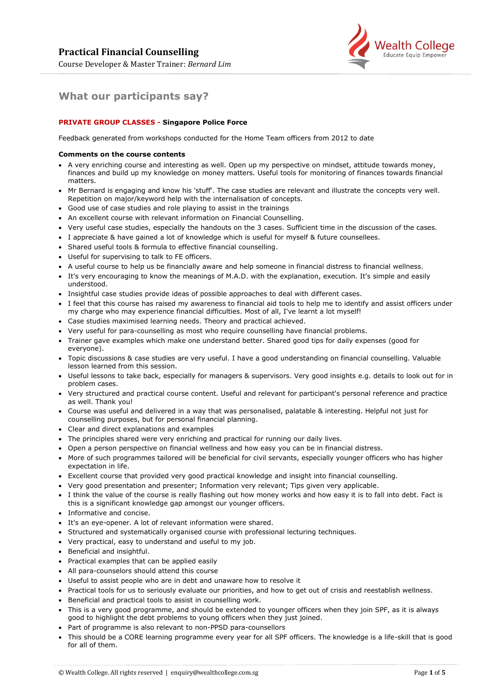

# **What our participants say?**

# **PRIVATE GROUP CLASSES - Singapore Police Force**

Feedback generated from workshops conducted for the Home Team officers from 2012 to date

## **Comments on the course contents**

- A very enriching course and interesting as well. Open up my perspective on mindset, attitude towards money, finances and build up my knowledge on money matters. Useful tools for monitoring of finances towards financial matters.
- Mr Bernard is engaging and know his 'stuff'. The case studies are relevant and illustrate the concepts very well. Repetition on major/keyword help with the internalisation of concepts.
- Good use of case studies and role playing to assist in the trainings
- An excellent course with relevant information on Financial Counselling.
- Very useful case studies, especially the handouts on the 3 cases. Sufficient time in the discussion of the cases.
- I appreciate & have gained a lot of knowledge which is useful for myself & future counsellees.
- Shared useful tools & formula to effective financial counselling.
- Useful for supervising to talk to FE officers.
- A useful course to help us be financially aware and help someone in financial distress to financial wellness.
- It's very encouraging to know the meanings of M.A.D. with the explanation, execution. It's simple and easily understood.
- Insightful case studies provide ideas of possible approaches to deal with different cases.
- I feel that this course has raised my awareness to financial aid tools to help me to identify and assist officers under my charge who may experience financial difficulties. Most of all, I've learnt a lot myself!
- Case studies maximised learning needs. Theory and practical achieved.
- Very useful for para-counselling as most who require counselling have financial problems.
- Trainer gave examples which make one understand better. Shared good tips for daily expenses (good for everyone).
- Topic discussions & case studies are very useful. I have a good understanding on financial counselling. Valuable lesson learned from this session.
- Useful lessons to take back, especially for managers & supervisors. Very good insights e.g. details to look out for in problem cases.
- Very structured and practical course content. Useful and relevant for participant's personal reference and practice as well. Thank you!
- Course was useful and delivered in a way that was personalised, palatable & interesting. Helpful not just for counselling purposes, but for personal financial planning.
- Clear and direct explanations and examples
- The principles shared were very enriching and practical for running our daily lives.
- Open a person perspective on financial wellness and how easy you can be in financial distress.
- More of such programmes tailored will be beneficial for civil servants, especially younger officers who has higher expectation in life.
- Excellent course that provided very good practical knowledge and insight into financial counselling.
- Very good presentation and presenter; Information very relevant; Tips given very applicable.
- I think the value of the course is really flashing out how money works and how easy it is to fall into debt. Fact is this is a significant knowledge gap amongst our younger officers.
- Informative and concise.
- It's an eye-opener. A lot of relevant information were shared.
- Structured and systematically organised course with professional lecturing techniques.
- Very practical, easy to understand and useful to my job.
- Beneficial and insightful.
- Practical examples that can be applied easily
- All para-counselors should attend this course
- Useful to assist people who are in debt and unaware how to resolve it
- Practical tools for us to seriously evaluate our priorities, and how to get out of crisis and reestablish wellness.
- Beneficial and practical tools to assist in counselling work.
- This is a very good programme, and should be extended to younger officers when they join SPF, as it is always good to highlight the debt problems to young officers when they just joined.
- Part of programme is also relevant to non-PPSD para-counsellors
- This should be a CORE learning programme every year for all SPF officers. The knowledge is a life-skill that is good for all of them.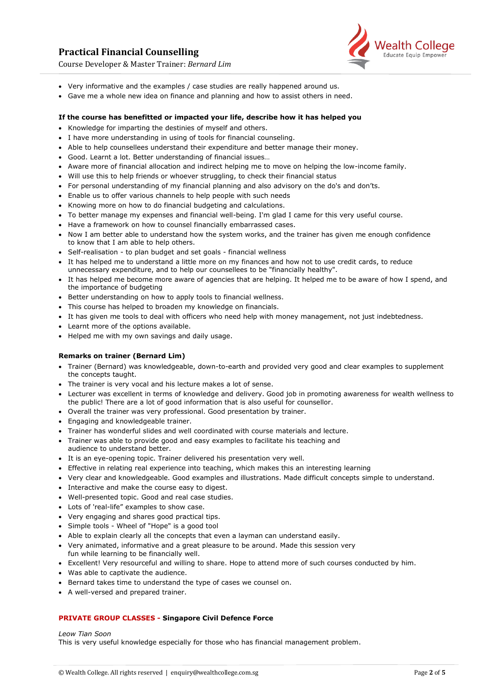# **Practical Financial Counselling**



Course Developer & Master Trainer: *Bernard Lim*

- Very informative and the examples / case studies are really happened around us.
- Gave me a whole new idea on finance and planning and how to assist others in need.

# **If the course has benefitted or impacted your life, describe how it has helped you**

- Knowledge for imparting the destinies of myself and others.
- I have more understanding in using of tools for financial counseling.
- Able to help counsellees understand their expenditure and better manage their money.
- Good. Learnt a lot. Better understanding of financial issues…
- Aware more of financial allocation and indirect helping me to move on helping the low-income family.
- Will use this to help friends or whoever struggling, to check their financial status
- For personal understanding of my financial planning and also advisory on the do's and don'ts.
- Enable us to offer various channels to help people with such needs
- Knowing more on how to do financial budgeting and calculations.
- To better manage my expenses and financial well-being. I'm glad I came for this very useful course.
- Have a framework on how to counsel financially embarrassed cases.
- Now I am better able to understand how the system works, and the trainer has given me enough confidence to know that I am able to help others.
- Self-realisation to plan budget and set goals financial wellness
- It has helped me to understand a little more on my finances and how not to use credit cards, to reduce unnecessary expenditure, and to help our counsellees to be "financially healthy".
- It has helped me become more aware of agencies that are helping. It helped me to be aware of how I spend, and the importance of budgeting
- Better understanding on how to apply tools to financial wellness.
- This course has helped to broaden my knowledge on financials.
- It has given me tools to deal with officers who need help with money management, not just indebtedness.
- Learnt more of the options available.
- Helped me with my own savings and daily usage.

# **Remarks on trainer (Bernard Lim)**

- Trainer (Bernard) was knowledgeable, down-to-earth and provided very good and clear examples to supplement the concepts taught.
- The trainer is very vocal and his lecture makes a lot of sense.
- Lecturer was excellent in terms of knowledge and delivery. Good job in promoting awareness for wealth wellness to the public! There are a lot of good information that is also useful for counsellor.
- Overall the trainer was very professional. Good presentation by trainer.
- Engaging and knowledgeable trainer.
- Trainer has wonderful slides and well coordinated with course materials and lecture.
- Trainer was able to provide good and easy examples to facilitate his teaching and audience to understand better.
- It is an eye-opening topic. Trainer delivered his presentation very well.
- Effective in relating real experience into teaching, which makes this an interesting learning
- Very clear and knowledgeable. Good examples and illustrations. Made difficult concepts simple to understand.
- Interactive and make the course easy to digest.
- Well-presented topic. Good and real case studies.
- Lots of 'real-life" examples to show case.
- Very engaging and shares good practical tips.
- Simple tools Wheel of "Hope" is a good tool
- Able to explain clearly all the concepts that even a layman can understand easily.
- Very animated, informative and a great pleasure to be around. Made this session very fun while learning to be financially well.
- Excellent! Very resourceful and willing to share. Hope to attend more of such courses conducted by him.
- Was able to captivate the audience.
- Bernard takes time to understand the type of cases we counsel on.
- A well-versed and prepared trainer.

# **PRIVATE GROUP CLASSES - Singapore Civil Defence Force**

# *Leow Tian Soon*

This is very useful knowledge especially for those who has financial management problem.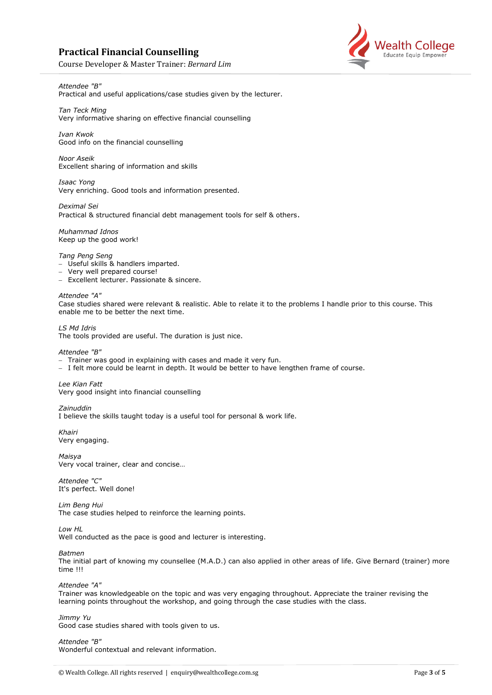# **Practical Financial Counselling**

Course Developer & Master Trainer: *Bernard Lim*

# *Attendee "B"*

Practical and useful applications/case studies given by the lecturer.

*Tan Teck Ming* Very informative sharing on effective financial counselling

*Ivan Kwok* Good info on the financial counselling

*Noor Aseik* Excellent sharing of information and skills

*Isaac Yong* Very enriching. Good tools and information presented.

*Deximal Sei* Practical & structured financial debt management tools for self & others.

*Muhammad Idnos* Keep up the good work!

*Tang Peng Seng*

- − Useful skills & handlers imparted.
- − Very well prepared course!
- − Excellent lecturer. Passionate & sincere.

*Attendee "A"* Case studies shared were relevant & realistic. Able to relate it to the problems I handle prior to this course. This enable me to be better the next time.

*LS Md Idris* The tools provided are useful. The duration is just nice.

*Attendee "B"*

- − Trainer was good in explaining with cases and made it very fun.
- − I felt more could be learnt in depth. It would be better to have lengthen frame of course.

*Lee Kian Fatt* Very good insight into financial counselling

*Zainuddin*

I believe the skills taught today is a useful tool for personal & work life.

*Khairi* Very engaging.

*Maisya* Very vocal trainer, clear and concise…

*Attendee "C"* It's perfect. Well done!

*Lim Beng Hui* The case studies helped to reinforce the learning points.

*Low HL*

Well conducted as the pace is good and lecturer is interesting.

*Batmen*

The initial part of knowing my counsellee (M.A.D.) can also applied in other areas of life. Give Bernard (trainer) more time !!!

*Attendee "A"*

Trainer was knowledgeable on the topic and was very engaging throughout. Appreciate the trainer revising the learning points throughout the workshop, and going through the case studies with the class*.*

*Jimmy Yu* Good case studies shared with tools given to us.

*Attendee "B"* Wonderful contextual and relevant information.

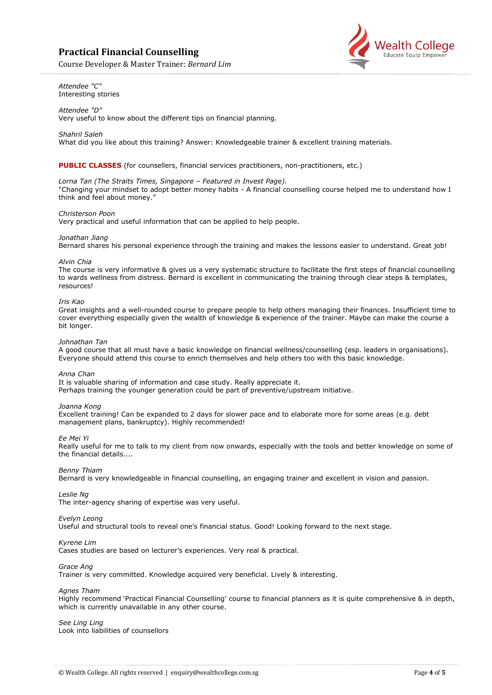# **Practical Financial Counselling**

Course Developer & Master Trainer: *Bernard Lim*



## *Attendee "C"* Interesting stories

*Attendee "D"* Very useful to know about the different tips on financial planning.

*Shahril Saleh*

What did you like about this training? Answer: Knowledgeable trainer & excellent training materials.

**PUBLIC CLASSES** (for counsellers, financial services practitioners, non-practitioners, etc.)

## *Lorna Tan (The Straits Times, Singapore – Featured in Invest Page).*

"Changing your mindset to adopt better money habits - A financial counselling course helped me to understand how I think and feel about money."

## *Christerson Poon*

Very practical and useful information that can be applied to help people.

## *Jonathan Jiang*

Bernard shares his personal experience through the training and makes the lessons easier to understand. Great job!

#### *Alvin Chia*

The course is very informative & gives us a very systematic structure to facilitate the first steps of financial counselling to wards wellness from distress. Bernard is excellent in communicating the training through clear steps & templates, resources!

## *Iris Kao*

Great insights and a well-rounded course to prepare people to help others managing their finances. Insufficient time to cover everything especially given the wealth of knowledge & experience of the trainer. Maybe can make the course a bit longer.

## *Johnathan Tan*

A good course that all must have a basic knowledge on financial wellness/counselling (esp. leaders in organisations). Everyone should attend this course to enrich themselves and help others too with this basic knowledge.

#### *Anna Chan*

It is valuable sharing of information and case study. Really appreciate it. Perhaps training the younger generation could be part of preventive/upstream initiative.

#### *Joanna Kong*

Excellent training! Can be expanded to 2 days for slower pace and to elaborate more for some areas (e.g. debt management plans, bankruptcy). Highly recommended!

#### *Ee Mei Yi*

Really useful for me to talk to my client from now onwards, especially with the tools and better knowledge on some of the financial details....

#### *Benny Thiam*

Bernard is very knowledgeable in financial counselling, an engaging trainer and excellent in vision and passion.

#### *Leslie Ng*

The inter-agency sharing of expertise was very useful.

# *Evelyn Leong*

Useful and structural tools to reveal one's financial status. Good! Looking forward to the next stage.

#### *Kyrene Lim*

Cases studies are based on lecturer's experiences. Very real & practical.

#### *Grace Ang*

Trainer is very committed. Knowledge acquired very beneficial. Lively & interesting.

*Agnes Tham*

Highly recommend 'Practical Financial Counselling' course to financial planners as it is quite comprehensive & in depth, which is currently unavailable in any other course.

#### *See Ling Ling* Look into liabilities of counsellors